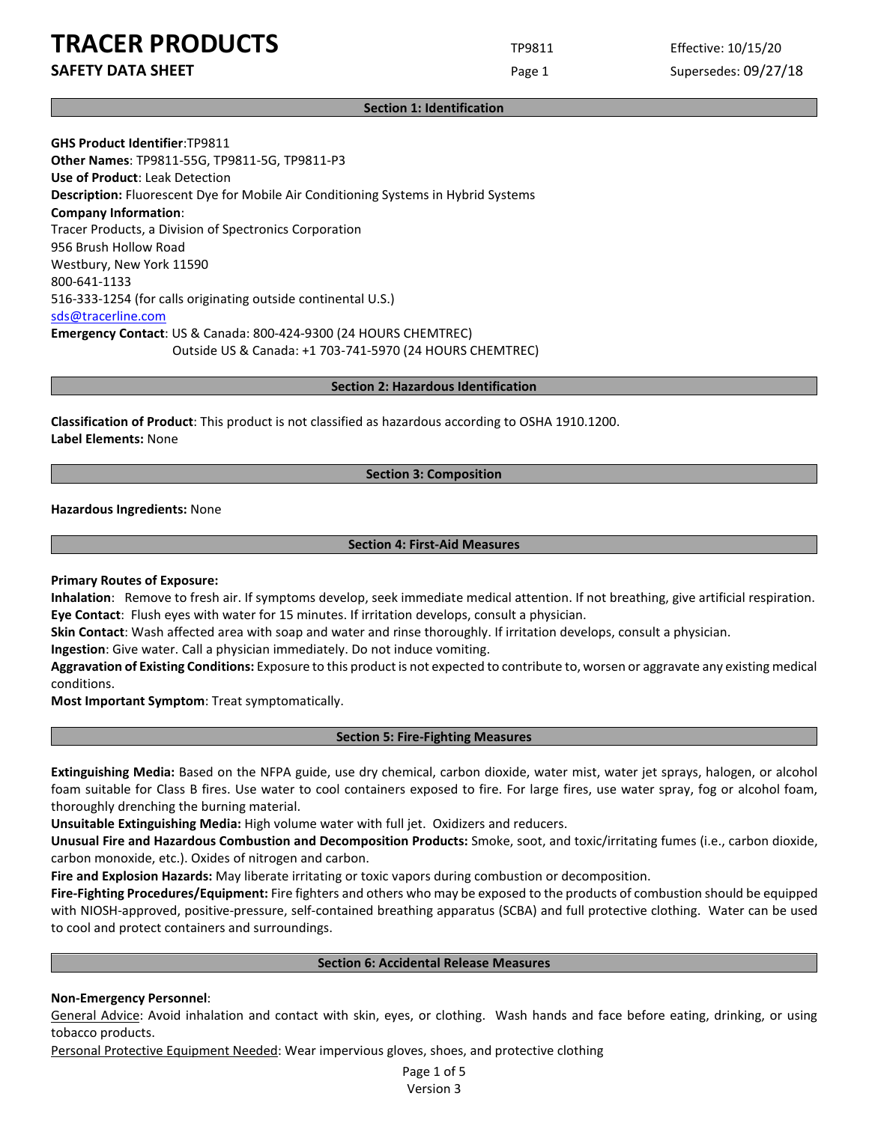# **TRACER PRODUCTS** TP9811 Effective: 10/15/20

**SAFETY DATA SHEET Page 1** Supersedes: 09/27/18

#### **Section 1: Identification**

**GHS Product Identifier**:TP9811 **Other Names**: TP9811-55G, TP9811-5G, TP9811-P3 **Use of Product**: Leak Detection **Description:** Fluorescent Dye for Mobile Air Conditioning Systems in Hybrid Systems **Company Information**: Tracer Products, a Division of Spectronics Corporation 956 Brush Hollow Road Westbury, New York 11590 800-641-1133 516-333-1254 (for calls originating outside continental U.S.) [sds@tracerline.com](mailto:sds@tracerline.com) **Emergency Contact**: US & Canada: 800-424-9300 (24 HOURS CHEMTREC) Outside US & Canada: +1 703-741-5970 (24 HOURS CHEMTREC)

**Section 2: Hazardous Identification**

**Classification of Product**: This product is not classified as hazardous according to OSHA 1910.1200. **Label Elements:** None

### **Section 3: Composition**

**Hazardous Ingredients:** None

### **Section 4: First-Aid Measures**

**Primary Routes of Exposure:**

**Inhalation**: Remove to fresh air. If symptoms develop, seek immediate medical attention. If not breathing, give artificial respiration. **Eye Contact**: Flush eyes with water for 15 minutes. If irritation develops, consult a physician.

**Skin Contact**: Wash affected area with soap and water and rinse thoroughly. If irritation develops, consult a physician.

**Ingestion**: Give water. Call a physician immediately. Do not induce vomiting.

**Aggravation of Existing Conditions:** Exposure to this product is not expected to contribute to, worsen or aggravate any existing medical conditions.

**Most Important Symptom**: Treat symptomatically.

#### **Section 5: Fire-Fighting Measures**

**Extinguishing Media:** Based on the NFPA guide, use dry chemical, carbon dioxide, water mist, water jet sprays, halogen, or alcohol foam suitable for Class B fires. Use water to cool containers exposed to fire. For large fires, use water spray, fog or alcohol foam, thoroughly drenching the burning material.

**Unsuitable Extinguishing Media:** High volume water with full jet. Oxidizers and reducers.

**Unusual Fire and Hazardous Combustion and Decomposition Products:** Smoke, soot, and toxic/irritating fumes (i.e., carbon dioxide, carbon monoxide, etc.). Oxides of nitrogen and carbon.

**Fire and Explosion Hazards:** May liberate irritating or toxic vapors during combustion or decomposition.

**Fire-Fighting Procedures/Equipment:** Fire fighters and others who may be exposed to the products of combustion should be equipped with NIOSH-approved, positive-pressure, self-contained breathing apparatus (SCBA) and full protective clothing. Water can be used to cool and protect containers and surroundings.

#### **Section 6: Accidental Release Measures**

# **Non-Emergency Personnel**:

General Advice: Avoid inhalation and contact with skin, eyes, or clothing. Wash hands and face before eating, drinking, or using tobacco products.

Personal Protective Equipment Needed: Wear impervious gloves, shoes, and protective clothing

Page 1 of 5 Version 3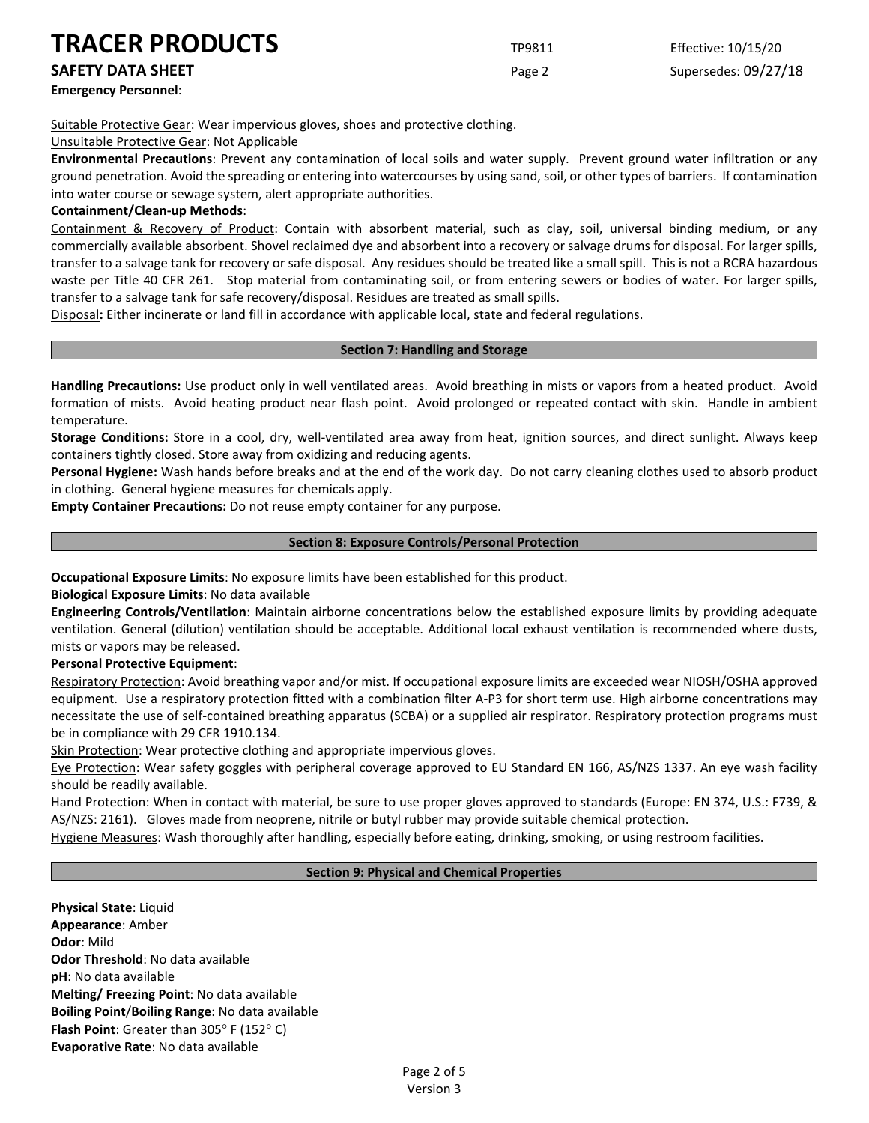# **TRACER PRODUCTS** TP9811 Effective: 10/15/20

**Emergency Personnel**:

**SAFETY DATA SHEET Page 2** Supersedes: 09/27/18

Suitable Protective Gear: Wear impervious gloves, shoes and protective clothing.

Unsuitable Protective Gear: Not Applicable

**Environmental Precautions**: Prevent any contamination of local soils and water supply. Prevent ground water infiltration or any ground penetration. Avoid the spreading or entering into watercourses by using sand, soil, or other types of barriers. If contamination into water course or sewage system, alert appropriate authorities.

## **Containment/Clean-up Methods**:

Containment & Recovery of Product: Contain with absorbent material, such as clay, soil, universal binding medium, or any commercially available absorbent. Shovel reclaimed dye and absorbent into a recovery or salvage drums for disposal. For larger spills, transfer to a salvage tank for recovery or safe disposal. Any residues should be treated like a small spill. This is not a RCRA hazardous waste per Title 40 CFR 261. Stop material from contaminating soil, or from entering sewers or bodies of water. For larger spills, transfer to a salvage tank for safe recovery/disposal. Residues are treated as small spills.

Disposal**:** Either incinerate or land fill in accordance with applicable local, state and federal regulations.

#### **Section 7: Handling and Storage**

**Handling Precautions:** Use product only in well ventilated areas. Avoid breathing in mists or vapors from a heated product. Avoid formation of mists. Avoid heating product near flash point. Avoid prolonged or repeated contact with skin. Handle in ambient temperature.

**Storage Conditions:** Store in a cool, dry, well-ventilated area away from heat, ignition sources, and direct sunlight. Always keep containers tightly closed. Store away from oxidizing and reducing agents.

**Personal Hygiene:** Wash hands before breaks and at the end of the work day. Do not carry cleaning clothes used to absorb product in clothing. General hygiene measures for chemicals apply.

**Empty Container Precautions:** Do not reuse empty container for any purpose.

### **Section 8: Exposure Controls/Personal Protection**

**Occupational Exposure Limits**: No exposure limits have been established for this product.

**Biological Exposure Limits**: No data available

**Engineering Controls/Ventilation**: Maintain airborne concentrations below the established exposure limits by providing adequate ventilation. General (dilution) ventilation should be acceptable. Additional local exhaust ventilation is recommended where dusts, mists or vapors may be released.

**Personal Protective Equipment**:

Respiratory Protection: Avoid breathing vapor and/or mist. If occupational exposure limits are exceeded wear NIOSH/OSHA approved equipment. Use a respiratory protection fitted with a combination filter A-P3 for short term use. High airborne concentrations may necessitate the use of self-contained breathing apparatus (SCBA) or a supplied air respirator. Respiratory protection programs must be in compliance with 29 CFR 1910.134.

Skin Protection: Wear protective clothing and appropriate impervious gloves.

Eye Protection: Wear safety goggles with peripheral coverage approved to EU Standard EN 166, AS/NZS 1337. An eye wash facility should be readily available.

Hand Protection: When in contact with material, be sure to use proper gloves approved to standards (Europe: EN 374, U.S.: F739, & AS/NZS: 2161). Gloves made from neoprene, nitrile or butyl rubber may provide suitable chemical protection.

Hygiene Measures: Wash thoroughly after handling, especially before eating, drinking, smoking, or using restroom facilities.

# **Section 9: Physical and Chemical Properties**

**Physical State**: Liquid **Appearance**: Amber **Odor**: Mild **Odor Threshold**: No data available **pH**: No data available **Melting/ Freezing Point**: No data available **Boiling Point**/**Boiling Range**: No data available **Flash Point**: Greater than 305° F (152° C) **Evaporative Rate**: No data available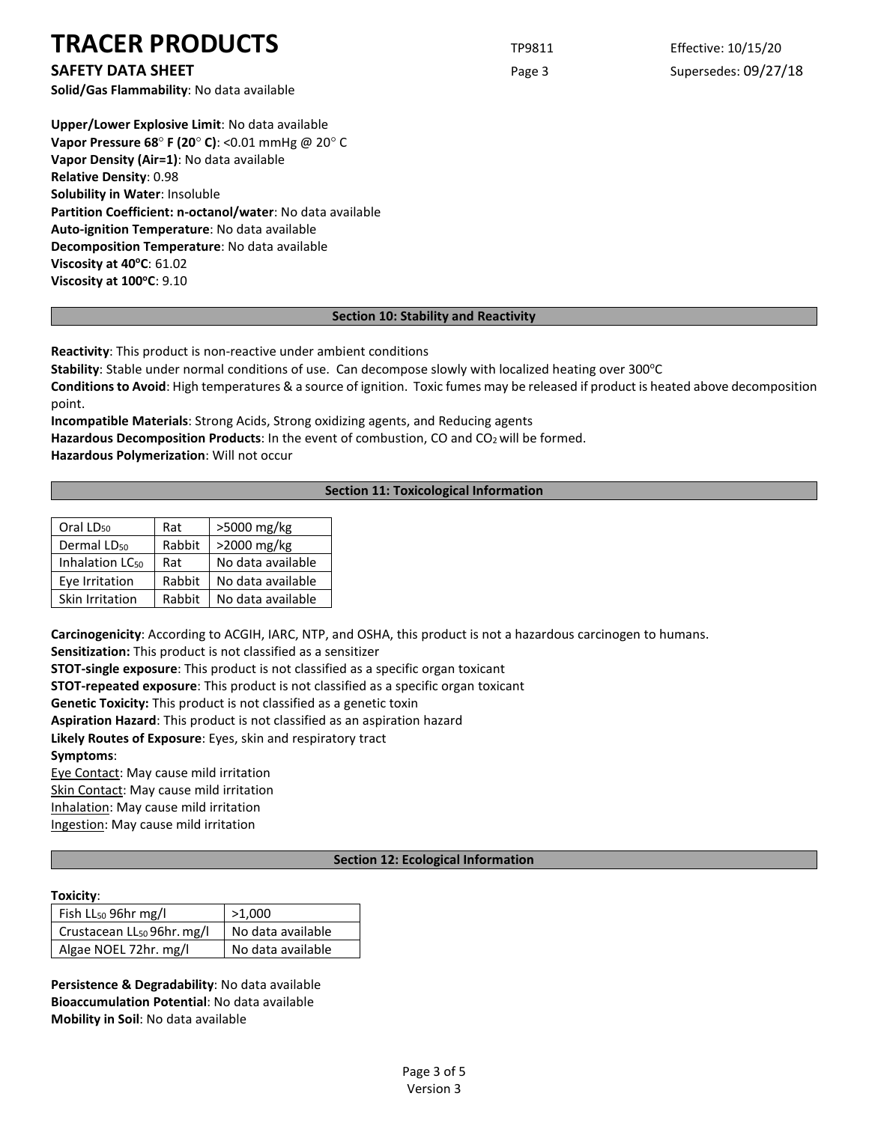# **TRACER PRODUCTS** TP9811 Effective: 10/15/20

**Solid/Gas Flammability**: No data available

**Upper/Lower Explosive Limit**: No data available **Vapor Pressure 68**° **F (20**° **C)**: <0.01 mmHg @ 20° C **Vapor Density (Air=1)**: No data available **Relative Density**: 0.98 **Solubility in Water**: Insoluble **Partition Coefficient: n-octanol/water**: No data available **Auto-ignition Temperature**: No data available **Decomposition Temperature**: No data available **Viscosity at 40°C: 61.02 Viscosity at 100°C**: 9.10

# **Section 10: Stability and Reactivity**

**Reactivity**: This product is non-reactive under ambient conditions

**Stability**: Stable under normal conditions of use. Can decompose slowly with localized heating over 300°C

**Conditions to Avoid**: High temperatures & a source of ignition. Toxic fumes may be released if product is heated above decomposition point.

**Incompatible Materials**: Strong Acids, Strong oxidizing agents, and Reducing agents

Hazardous Decomposition Products: In the event of combustion, CO and CO<sub>2</sub> will be formed.

**Hazardous Polymerization**: Will not occur

# **Section 11: Toxicological Information**

| Oral LD <sub>50</sub>       | Rat    | >5000 mg/kg       |  |
|-----------------------------|--------|-------------------|--|
| Dermal LD <sub>50</sub>     | Rabbit | >2000 mg/kg       |  |
| Inhalation LC <sub>50</sub> | Rat    | No data available |  |
| Eye Irritation              | Rabbit | No data available |  |
| Skin Irritation             | Rabbit | No data available |  |

**Carcinogenicity**: According to ACGIH, IARC, NTP, and OSHA, this product is not a hazardous carcinogen to humans. **Sensitization:** This product is not classified as a sensitizer

**STOT-single exposure**: This product is not classified as a specific organ toxicant

**STOT-repeated exposure**: This product is not classified as a specific organ toxicant

**Genetic Toxicity:** This product is not classified as a genetic toxin

**Aspiration Hazard**: This product is not classified as an aspiration hazard

**Likely Routes of Exposure**: Eyes, skin and respiratory tract

**Symptoms**:

Eye Contact: May cause mild irritation

Skin Contact: May cause mild irritation Inhalation: May cause mild irritation

Ingestion: May cause mild irritation

#### **Section 12: Ecological Information**

# **Toxicity**:

| Fish $LL_{50}$ 96hr mg/l               | >1,000            |  |
|----------------------------------------|-------------------|--|
| Crustacean LL <sub>50</sub> 96hr. mg/l | No data available |  |
| Algae NOEL 72hr. mg/l                  | No data available |  |

**Persistence & Degradability**: No data available **Bioaccumulation Potential**: No data available **Mobility in Soil**: No data available

**SAFETY DATA SHEET Page 3** Supersedes: 09/27/18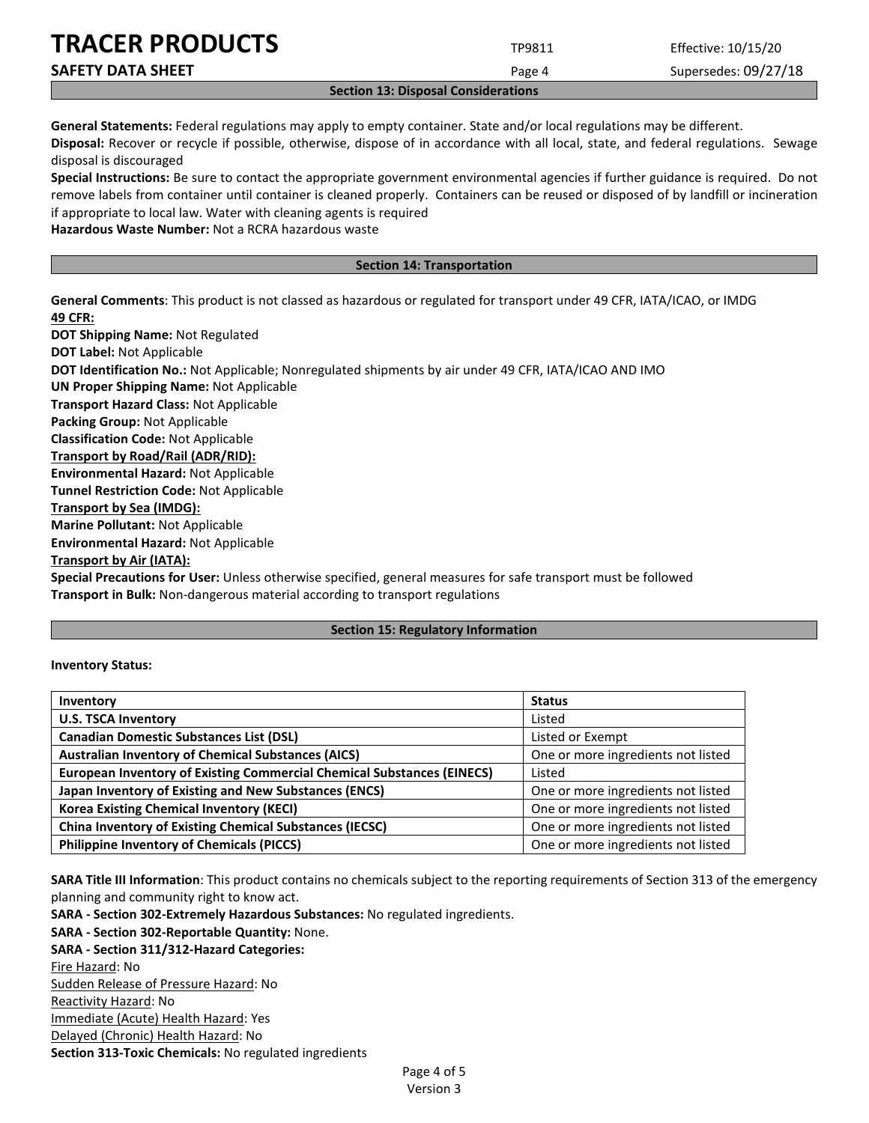| Costian 12: Disnosal Canaidaugtiana |        |                      |  |  |
|-------------------------------------|--------|----------------------|--|--|
| <b>SAFETY DATA SHEET</b>            | Page 4 | Supersedes: 09/27/18 |  |  |
| <b>TRACER PRODUCTS</b>              | TP9811 | Effective: 10/15/20  |  |  |

**Section 13: Disposal Considerations**

**General Statements:** Federal regulations may apply to empty container. State and/or local regulations may be different. **Disposal:** Recover or recycle if possible, otherwise, dispose of in accordance with all local, state, and federal regulations. Sewage disposal is discouraged

**Special Instructions:** Be sure to contact the appropriate government environmental agencies if further guidance is required. Do not remove labels from container until container is cleaned properly. Containers can be reused or disposed of by landfill or incineration if appropriate to local law. Water with cleaning agents is required

**Hazardous Waste Number:** Not a RCRA hazardous waste

## **Section 14: Transportation**

**General Comments**: This product is not classed as hazardous or regulated for transport under 49 CFR, IATA/ICAO, or IMDG **49 CFR:**

**DOT Shipping Name:** Not Regulated **DOT Label:** Not Applicable **DOT Identification No.:** Not Applicable; Nonregulated shipments by air under 49 CFR, IATA/ICAO AND IMO **UN Proper Shipping Name:** Not Applicable **Transport Hazard Class:** Not Applicable **Packing Group:** Not Applicable **Classification Code:** Not Applicable **Transport by Road/Rail (ADR/RID): Environmental Hazard:** Not Applicable **Tunnel Restriction Code:** Not Applicable **Transport by Sea (IMDG): Marine Pollutant:** Not Applicable **Environmental Hazard:** Not Applicable **Transport by Air (IATA): Special Precautions for User:** Unless otherwise specified, general measures for safe transport must be followed

**Transport in Bulk:** Non-dangerous material according to transport regulations

#### **Section 15: Regulatory Information**

#### **Inventory Status:**

| Inventory                                                                     | <b>Status</b>                      |  |
|-------------------------------------------------------------------------------|------------------------------------|--|
| <b>U.S. TSCA Inventory</b>                                                    | Listed                             |  |
| <b>Canadian Domestic Substances List (DSL)</b>                                | Listed or Exempt                   |  |
| <b>Australian Inventory of Chemical Substances (AICS)</b>                     | One or more ingredients not listed |  |
| <b>European Inventory of Existing Commercial Chemical Substances (EINECS)</b> | Listed                             |  |
| Japan Inventory of Existing and New Substances (ENCS)                         | One or more ingredients not listed |  |
| <b>Korea Existing Chemical Inventory (KECI)</b>                               | One or more ingredients not listed |  |
| <b>China Inventory of Existing Chemical Substances (IECSC)</b>                | One or more ingredients not listed |  |
| <b>Philippine Inventory of Chemicals (PICCS)</b>                              | One or more ingredients not listed |  |

**SARA Title III Information**: This product contains no chemicals subject to the reporting requirements of Section 313 of the emergency planning and community right to know act.

**SARA - Section 302-Extremely Hazardous Substances:** No regulated ingredients.

**SARA - Section 302-Reportable Quantity:** None.

**SARA - Section 311/312-Hazard Categories:**

Fire Hazard: No

Sudden Release of Pressure Hazard: No Reactivity Hazard: No

Immediate (Acute) Health Hazard: Yes

Delayed (Chronic) Health Hazard: No

**Section 313-Toxic Chemicals:** No regulated ingredients